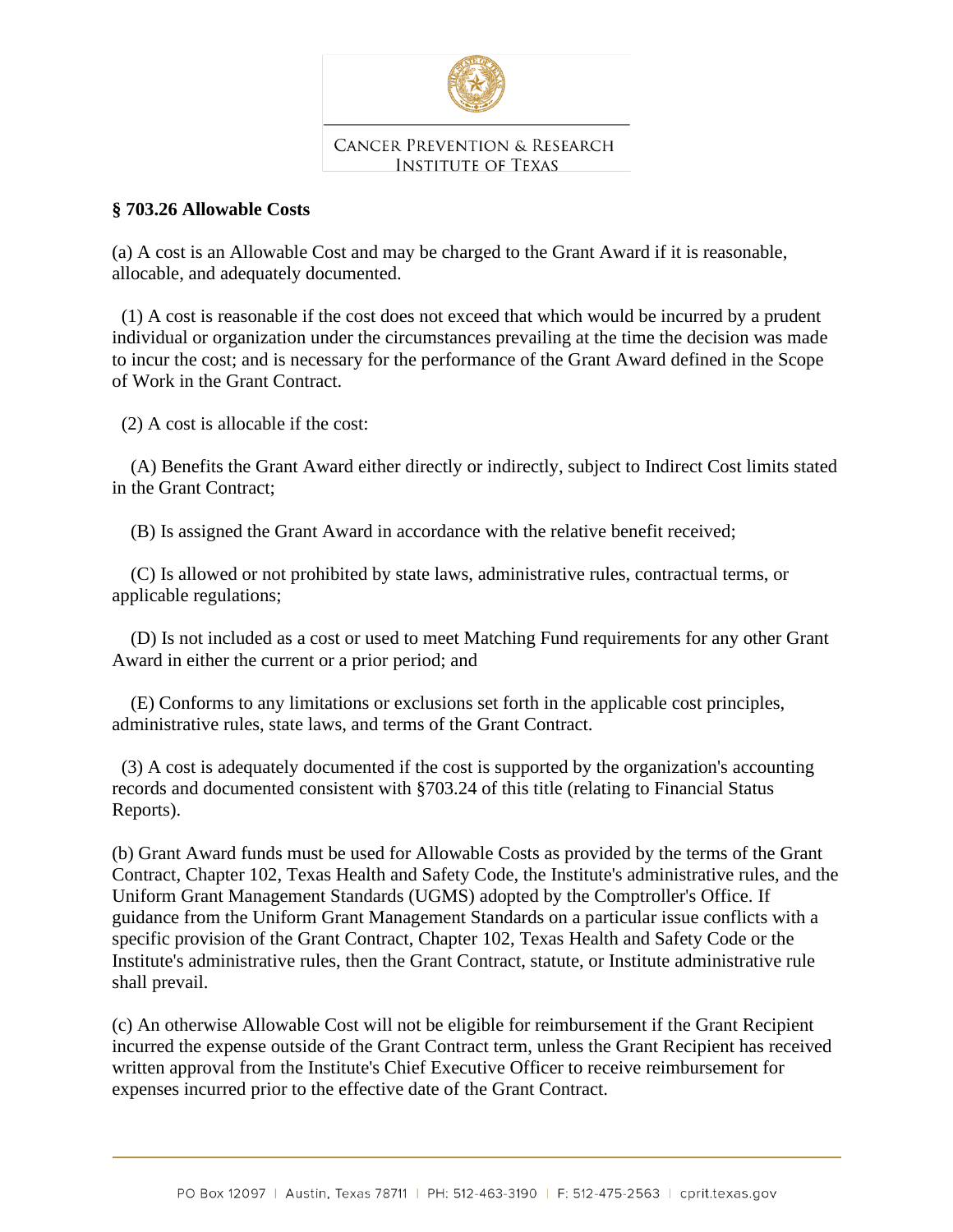

## **CANCER PREVENTION & RESEARCH INSTITUTE OF TEXAS**

## **§ 703.26 Allowable Costs**

(a) A cost is an Allowable Cost and may be charged to the Grant Award if it is reasonable, allocable, and adequately documented.

 (1) A cost is reasonable if the cost does not exceed that which would be incurred by a prudent individual or organization under the circumstances prevailing at the time the decision was made to incur the cost; and is necessary for the performance of the Grant Award defined in the Scope of Work in the Grant Contract.

(2) A cost is allocable if the cost:

 (A) Benefits the Grant Award either directly or indirectly, subject to Indirect Cost limits stated in the Grant Contract;

(B) Is assigned the Grant Award in accordance with the relative benefit received;

 (C) Is allowed or not prohibited by state laws, administrative rules, contractual terms, or applicable regulations;

 (D) Is not included as a cost or used to meet Matching Fund requirements for any other Grant Award in either the current or a prior period; and

 (E) Conforms to any limitations or exclusions set forth in the applicable cost principles, administrative rules, state laws, and terms of the Grant Contract.

 (3) A cost is adequately documented if the cost is supported by the organization's accounting records and documented consistent with §703.24 of this title (relating to Financial Status Reports).

(b) Grant Award funds must be used for Allowable Costs as provided by the terms of the Grant Contract, Chapter 102, Texas Health and Safety Code, the Institute's administrative rules, and the Uniform Grant Management Standards (UGMS) adopted by the Comptroller's Office. If guidance from the Uniform Grant Management Standards on a particular issue conflicts with a specific provision of the Grant Contract, Chapter 102, Texas Health and Safety Code or the Institute's administrative rules, then the Grant Contract, statute, or Institute administrative rule shall prevail.

(c) An otherwise Allowable Cost will not be eligible for reimbursement if the Grant Recipient incurred the expense outside of the Grant Contract term, unless the Grant Recipient has received written approval from the Institute's Chief Executive Officer to receive reimbursement for expenses incurred prior to the effective date of the Grant Contract.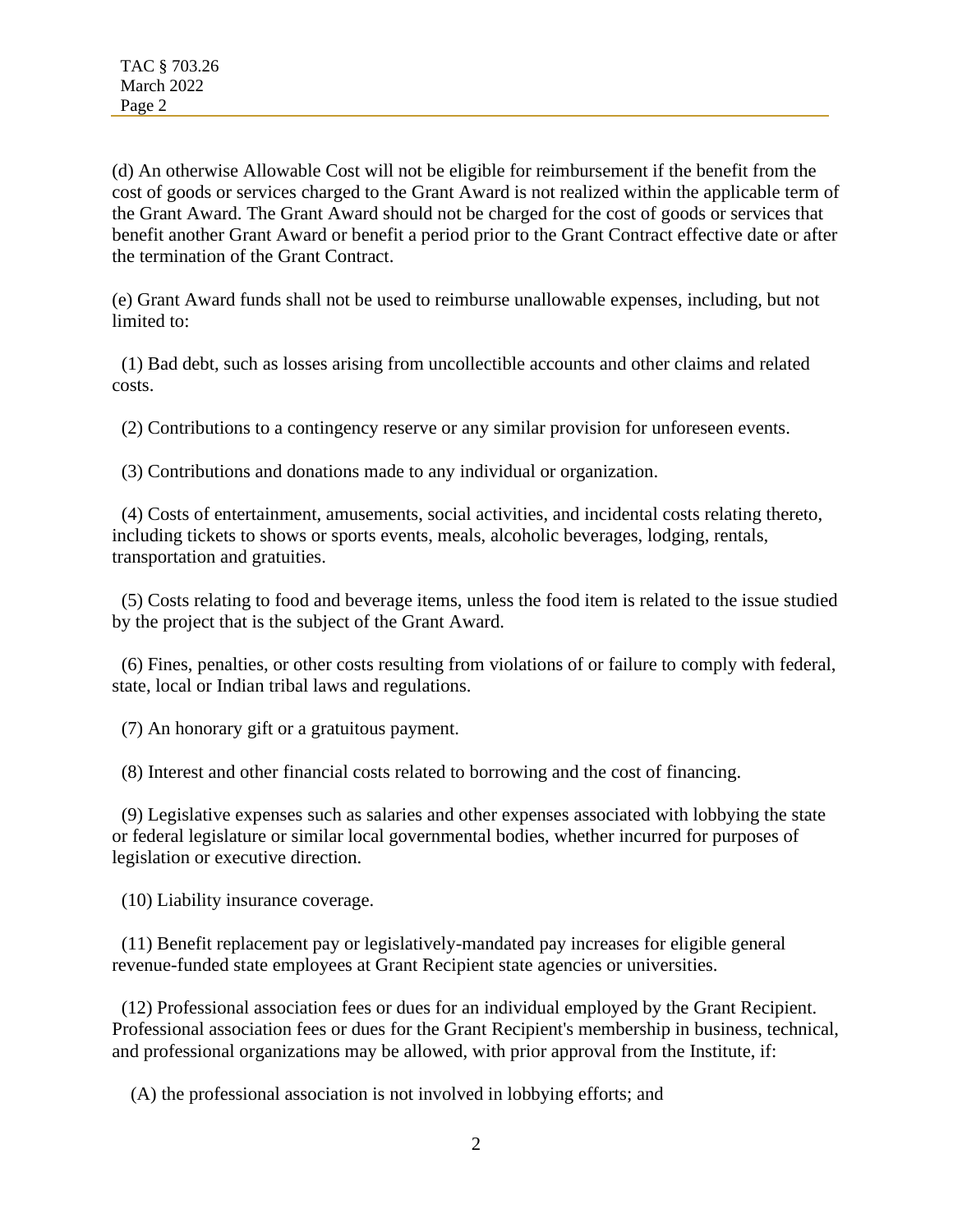(d) An otherwise Allowable Cost will not be eligible for reimbursement if the benefit from the cost of goods or services charged to the Grant Award is not realized within the applicable term of the Grant Award. The Grant Award should not be charged for the cost of goods or services that benefit another Grant Award or benefit a period prior to the Grant Contract effective date or after the termination of the Grant Contract.

(e) Grant Award funds shall not be used to reimburse unallowable expenses, including, but not limited to:

 (1) Bad debt, such as losses arising from uncollectible accounts and other claims and related costs.

(2) Contributions to a contingency reserve or any similar provision for unforeseen events.

(3) Contributions and donations made to any individual or organization.

 (4) Costs of entertainment, amusements, social activities, and incidental costs relating thereto, including tickets to shows or sports events, meals, alcoholic beverages, lodging, rentals, transportation and gratuities.

 (5) Costs relating to food and beverage items, unless the food item is related to the issue studied by the project that is the subject of the Grant Award.

 (6) Fines, penalties, or other costs resulting from violations of or failure to comply with federal, state, local or Indian tribal laws and regulations.

(7) An honorary gift or a gratuitous payment.

(8) Interest and other financial costs related to borrowing and the cost of financing.

 (9) Legislative expenses such as salaries and other expenses associated with lobbying the state or federal legislature or similar local governmental bodies, whether incurred for purposes of legislation or executive direction.

(10) Liability insurance coverage.

 (11) Benefit replacement pay or legislatively-mandated pay increases for eligible general revenue-funded state employees at Grant Recipient state agencies or universities.

 (12) Professional association fees or dues for an individual employed by the Grant Recipient. Professional association fees or dues for the Grant Recipient's membership in business, technical, and professional organizations may be allowed, with prior approval from the Institute, if:

(A) the professional association is not involved in lobbying efforts; and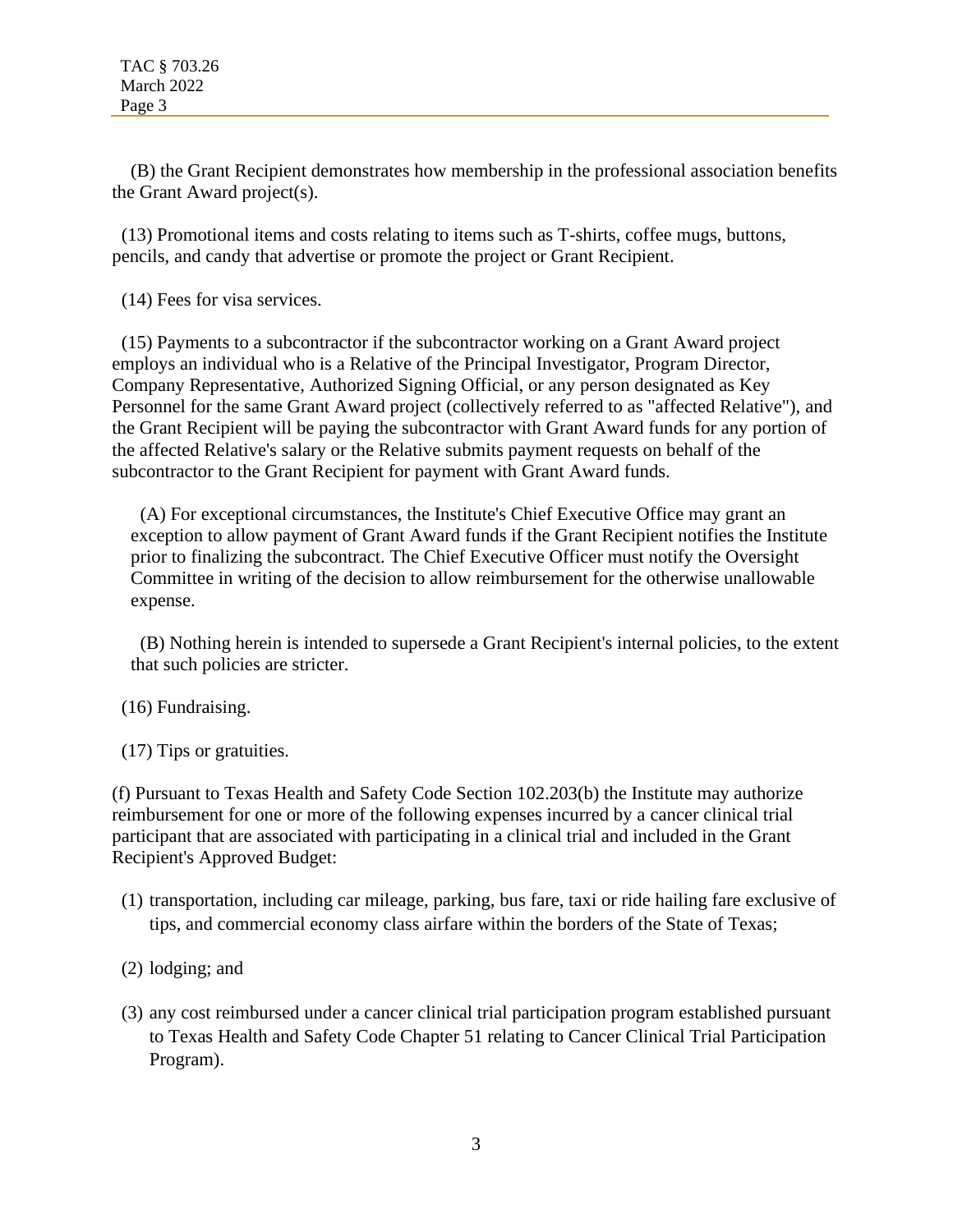(B) the Grant Recipient demonstrates how membership in the professional association benefits the Grant Award project(s).

 (13) Promotional items and costs relating to items such as T-shirts, coffee mugs, buttons, pencils, and candy that advertise or promote the project or Grant Recipient.

(14) Fees for visa services.

 (15) Payments to a subcontractor if the subcontractor working on a Grant Award project employs an individual who is a Relative of the Principal Investigator, Program Director, Company Representative, Authorized Signing Official, or any person designated as Key Personnel for the same Grant Award project (collectively referred to as "affected Relative"), and the Grant Recipient will be paying the subcontractor with Grant Award funds for any portion of the affected Relative's salary or the Relative submits payment requests on behalf of the subcontractor to the Grant Recipient for payment with Grant Award funds.

 (A) For exceptional circumstances, the Institute's Chief Executive Office may grant an exception to allow payment of Grant Award funds if the Grant Recipient notifies the Institute prior to finalizing the subcontract. The Chief Executive Officer must notify the Oversight Committee in writing of the decision to allow reimbursement for the otherwise unallowable expense.

 (B) Nothing herein is intended to supersede a Grant Recipient's internal policies, to the extent that such policies are stricter.

## (16) Fundraising.

(17) Tips or gratuities.

(f) Pursuant to Texas Health and Safety Code Section 102.203(b) the Institute may authorize reimbursement for one or more of the following expenses incurred by a cancer clinical trial participant that are associated with participating in a clinical trial and included in the Grant Recipient's Approved Budget:

- (1) transportation, including car mileage, parking, bus fare, taxi or ride hailing fare exclusive of tips, and commercial economy class airfare within the borders of the State of Texas;
- (2) lodging; and
- (3) any cost reimbursed under a cancer clinical trial participation program established pursuant to Texas Health and Safety Code Chapter 51 relating to Cancer Clinical Trial Participation Program).